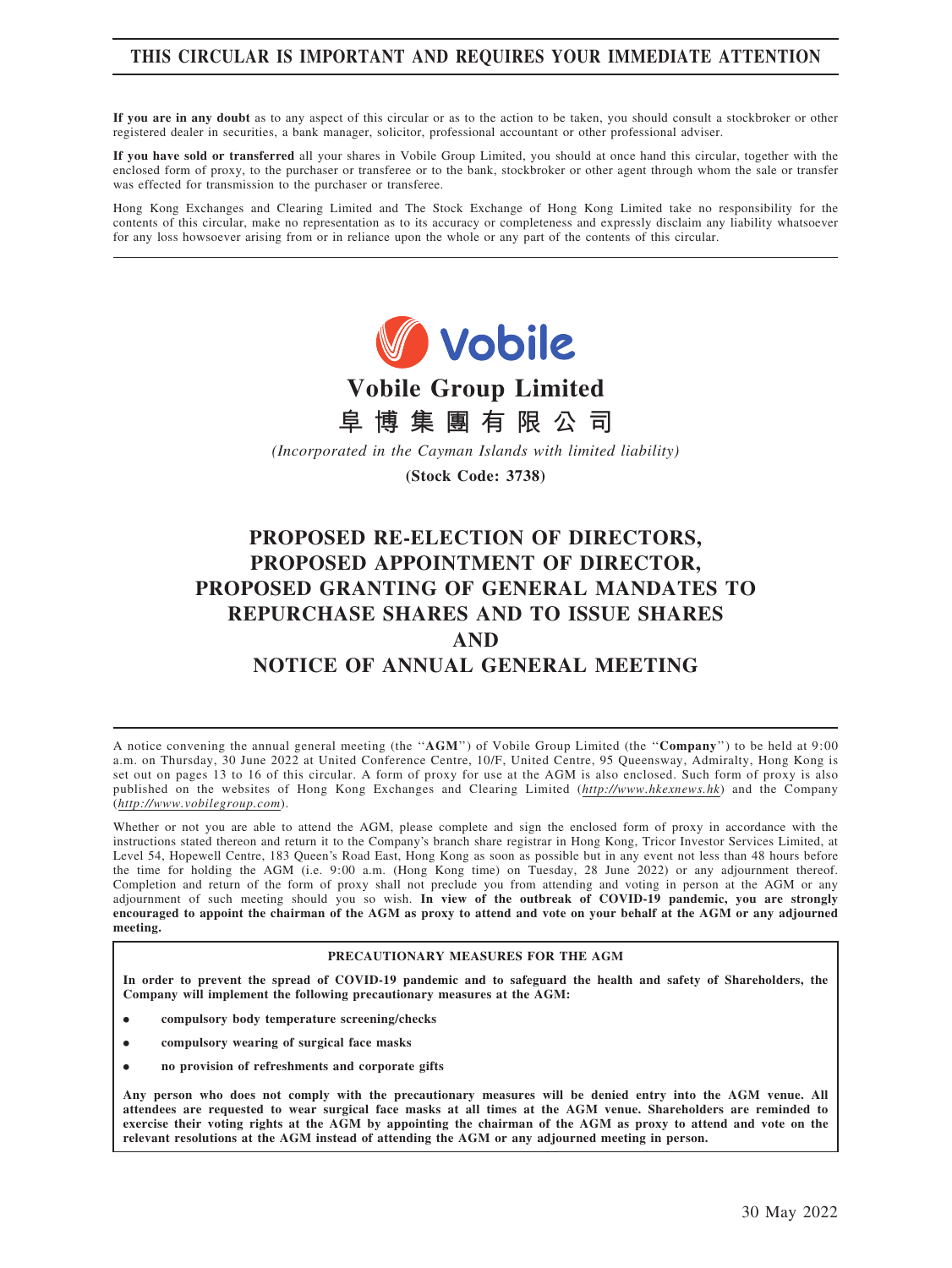## THIS CIRCULAR IS IMPORTANT AND REQUIRES YOUR IMMEDIATE ATTENTION

If you are in any doubt as to any aspect of this circular or as to the action to be taken, you should consult a stockbroker or other registered dealer in securities, a bank manager, solicitor, professional accountant or other professional adviser.

If you have sold or transferred all your shares in Vobile Group Limited, you should at once hand this circular, together with the enclosed form of proxy, to the purchaser or transferee or to the bank, stockbroker or other agent through whom the sale or transfer was effected for transmission to the purchaser or transferee.

Hong Kong Exchanges and Clearing Limited and The Stock Exchange of Hong Kong Limited take no responsibility for the contents of this circular, make no representation as to its accuracy or completeness and expressly disclaim any liability whatsoever for any loss howsoever arising from or in reliance upon the whole or any part of the contents of this circular.



Vobile Group Limited



(Incorporated in the Cayman Islands with limited liability)

(Stock Code: 3738)

# PROPOSED RE-ELECTION OF DIRECTORS, PROPOSED APPOINTMENT OF DIRECTOR, PROPOSED GRANTING OF GENERAL MANDATES TO REPURCHASE SHARES AND TO ISSUE SHARES AND NOTICE OF ANNUAL GENERAL MEETING

A notice convening the annual general meeting (the "AGM") of Vobile Group Limited (the "Company") to be held at 9:00 a.m. on Thursday, 30 June 2022 at United Conference Centre, 10/F, United Centre, 95 Queensway, Admiralty, Hong Kong is set out on pages 13 to 16 of this circular. A form of proxy for use at the AGM is also enclosed. Such form of proxy is also published on the websites of Hong Kong Exchanges and Clearing Limited (http://www.hkexnews.hk) and the Company (http://www.vobilegroup.com).

Whether or not you are able to attend the AGM, please complete and sign the enclosed form of proxy in accordance with the instructions stated thereon and return it to the Company's branch share registrar in Hong Kong, Tricor Investor Services Limited, at Level 54, Hopewell Centre, 183 Queen's Road East, Hong Kong as soon as possible but in any event not less than 48 hours before the time for holding the AGM (i.e. 9:00 a.m. (Hong Kong time) on Tuesday, 28 June 2022) or any adjournment thereof. Completion and return of the form of proxy shall not preclude you from attending and voting in person at the AGM or any adjournment of such meeting should you so wish. In view of the outbreak of COVID-19 pandemic, you are strongly encouraged to appoint the chairman of the AGM as proxy to attend and vote on your behalf at the AGM or any adjourned meeting.

### PRECAUTIONARY MEASURES FOR THE AGM

In order to prevent the spread of COVID-19 pandemic and to safeguard the health and safety of Shareholders, the Company will implement the following precautionary measures at the AGM:

- . compulsory body temperature screening/checks
- . compulsory wearing of surgical face masks
- . no provision of refreshments and corporate gifts

Any person who does not comply with the precautionary measures will be denied entry into the AGM venue. All attendees are requested to wear surgical face masks at all times at the AGM venue. Shareholders are reminded to exercise their voting rights at the AGM by appointing the chairman of the AGM as proxy to attend and vote on the relevant resolutions at the AGM instead of attending the AGM or any adjourned meeting in person.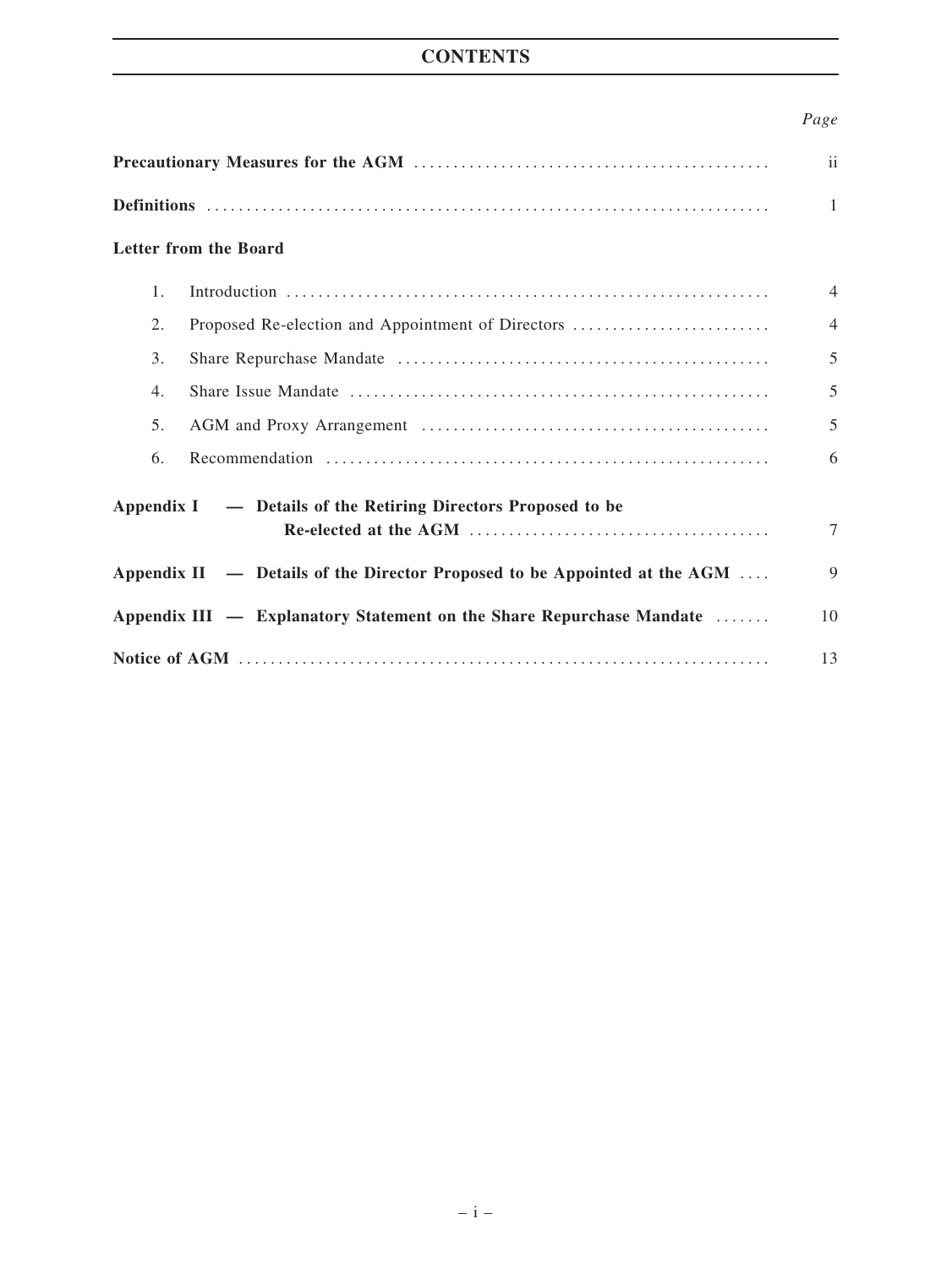# **CONTENTS**

## Page

| Letter from the Board                                                     |                                                   |                |  |  |
|---------------------------------------------------------------------------|---------------------------------------------------|----------------|--|--|
| 1 <sub>1</sub>                                                            |                                                   | $\overline{4}$ |  |  |
| 2.                                                                        | Proposed Re-election and Appointment of Directors | $\overline{4}$ |  |  |
| 3.                                                                        |                                                   | 5              |  |  |
| 4.                                                                        |                                                   | 5              |  |  |
| 5.                                                                        |                                                   | 5              |  |  |
| 6.                                                                        |                                                   | 6              |  |  |
| Appendix I — Details of the Retiring Directors Proposed to be             |                                                   |                |  |  |
|                                                                           |                                                   | 7              |  |  |
| Appendix II — Details of the Director Proposed to be Appointed at the AGM |                                                   |                |  |  |
| Appendix III — Explanatory Statement on the Share Repurchase Mandate      |                                                   |                |  |  |
|                                                                           |                                                   |                |  |  |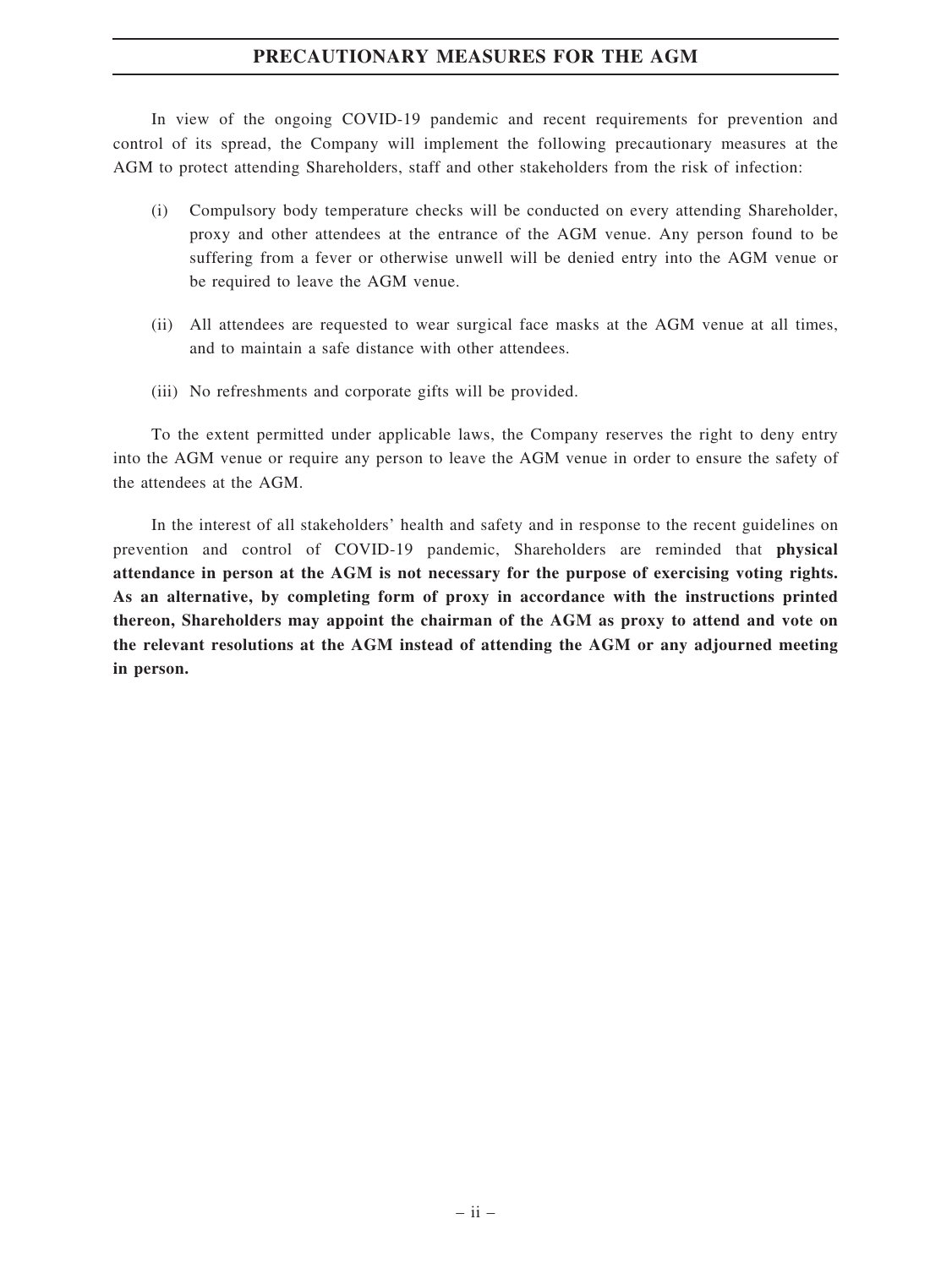## PRECAUTIONARY MEASURES FOR THE AGM

In view of the ongoing COVID-19 pandemic and recent requirements for prevention and control of its spread, the Company will implement the following precautionary measures at the AGM to protect attending Shareholders, staff and other stakeholders from the risk of infection:

- (i) Compulsory body temperature checks will be conducted on every attending Shareholder, proxy and other attendees at the entrance of the AGM venue. Any person found to be suffering from a fever or otherwise unwell will be denied entry into the AGM venue or be required to leave the AGM venue.
- (ii) All attendees are requested to wear surgical face masks at the AGM venue at all times, and to maintain a safe distance with other attendees.
- (iii) No refreshments and corporate gifts will be provided.

To the extent permitted under applicable laws, the Company reserves the right to deny entry into the AGM venue or require any person to leave the AGM venue in order to ensure the safety of the attendees at the AGM.

In the interest of all stakeholders' health and safety and in response to the recent guidelines on prevention and control of COVID-19 pandemic, Shareholders are reminded that physical attendance in person at the AGM is not necessary for the purpose of exercising voting rights. As an alternative, by completing form of proxy in accordance with the instructions printed thereon, Shareholders may appoint the chairman of the AGM as proxy to attend and vote on the relevant resolutions at the AGM instead of attending the AGM or any adjourned meeting in person.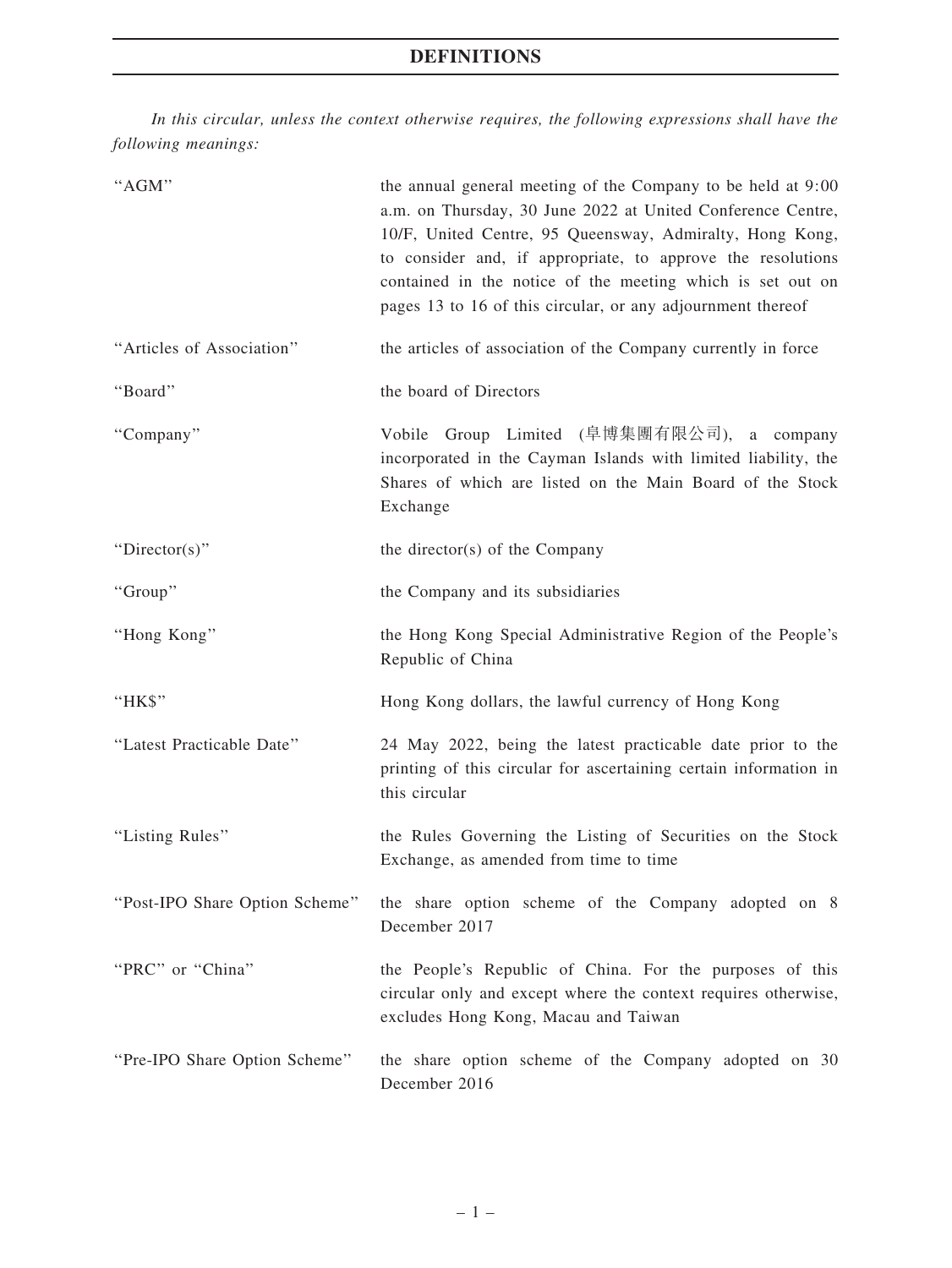In this circular, unless the context otherwise requires, the following expressions shall have the following meanings:

| "AGM"                          | the annual general meeting of the Company to be held at 9:00<br>a.m. on Thursday, 30 June 2022 at United Conference Centre,<br>10/F, United Centre, 95 Queensway, Admiralty, Hong Kong,<br>to consider and, if appropriate, to approve the resolutions<br>contained in the notice of the meeting which is set out on<br>pages 13 to 16 of this circular, or any adjournment thereof |
|--------------------------------|-------------------------------------------------------------------------------------------------------------------------------------------------------------------------------------------------------------------------------------------------------------------------------------------------------------------------------------------------------------------------------------|
| "Articles of Association"      | the articles of association of the Company currently in force                                                                                                                                                                                                                                                                                                                       |
| "Board"                        | the board of Directors                                                                                                                                                                                                                                                                                                                                                              |
| "Company"                      | Vobile Group Limited (阜博集團有限公司), a company<br>incorporated in the Cayman Islands with limited liability, the<br>Shares of which are listed on the Main Board of the Stock<br>Exchange                                                                                                                                                                                               |
| " $Directory$ "                | the director(s) of the Company                                                                                                                                                                                                                                                                                                                                                      |
| "Group"                        | the Company and its subsidiaries                                                                                                                                                                                                                                                                                                                                                    |
| "Hong Kong"                    | the Hong Kong Special Administrative Region of the People's<br>Republic of China                                                                                                                                                                                                                                                                                                    |
| "HK\$"                         | Hong Kong dollars, the lawful currency of Hong Kong                                                                                                                                                                                                                                                                                                                                 |
| "Latest Practicable Date"      | 24 May 2022, being the latest practicable date prior to the<br>printing of this circular for ascertaining certain information in<br>this circular                                                                                                                                                                                                                                   |
| "Listing Rules"                | the Rules Governing the Listing of Securities on the Stock<br>Exchange, as amended from time to time                                                                                                                                                                                                                                                                                |
| "Post-IPO Share Option Scheme" | the share option scheme of the Company adopted on 8<br>December 2017                                                                                                                                                                                                                                                                                                                |
| "PRC" or "China"               | the People's Republic of China. For the purposes of this<br>circular only and except where the context requires otherwise,<br>excludes Hong Kong, Macau and Taiwan                                                                                                                                                                                                                  |
| "Pre-IPO Share Option Scheme"  | the share option scheme of the Company adopted on 30<br>December 2016                                                                                                                                                                                                                                                                                                               |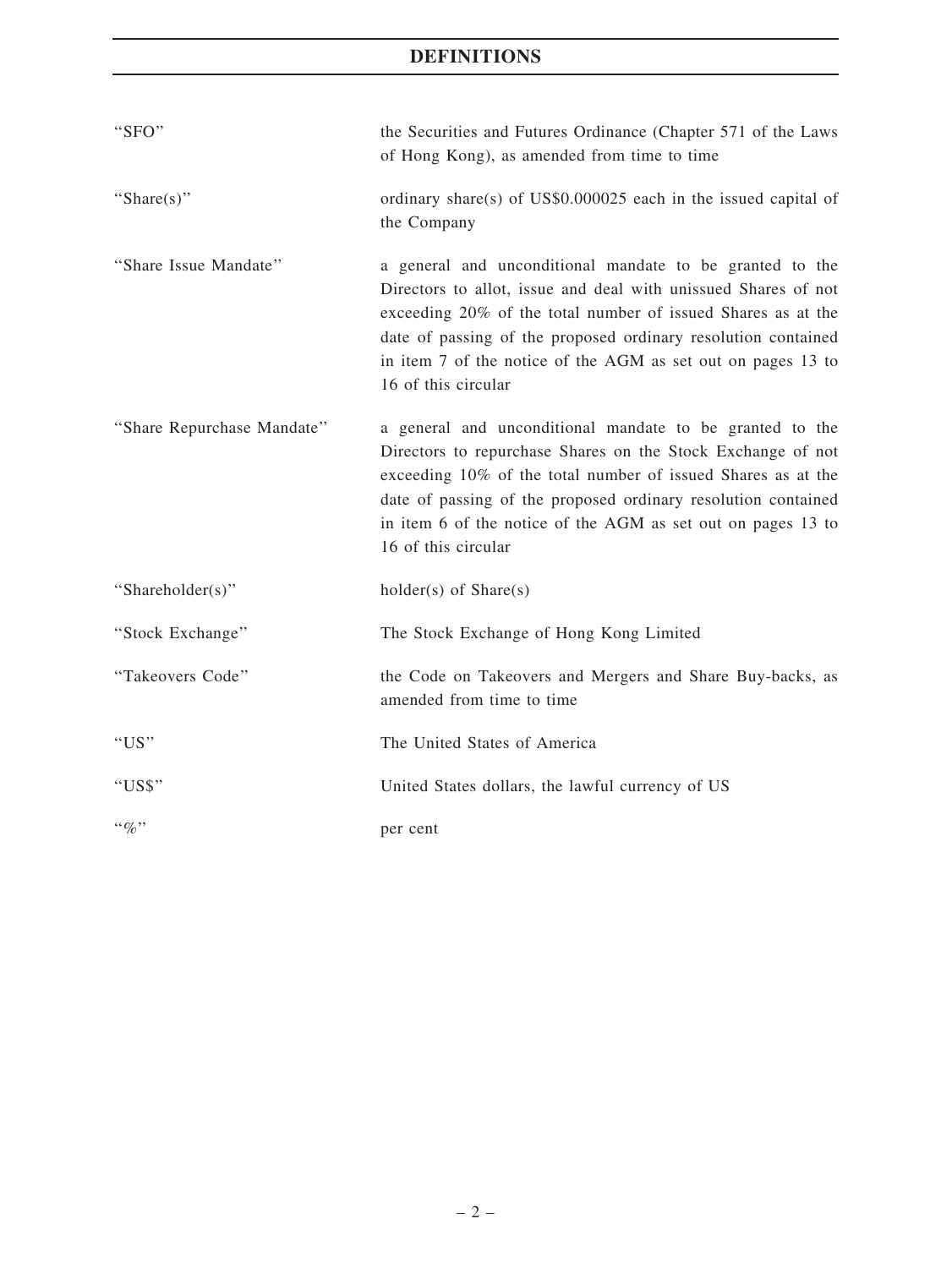# DEFINITIONS

| "SFO"                      | the Securities and Futures Ordinance (Chapter 571 of the Laws<br>of Hong Kong), as amended from time to time                                                                                                                                                                                                                                       |
|----------------------------|----------------------------------------------------------------------------------------------------------------------------------------------------------------------------------------------------------------------------------------------------------------------------------------------------------------------------------------------------|
| "Share $(s)$ "             | ordinary share(s) of US\$0.000025 each in the issued capital of<br>the Company                                                                                                                                                                                                                                                                     |
| "Share Issue Mandate"      | a general and unconditional mandate to be granted to the<br>Directors to allot, issue and deal with unissued Shares of not<br>exceeding 20% of the total number of issued Shares as at the<br>date of passing of the proposed ordinary resolution contained<br>in item 7 of the notice of the AGM as set out on pages 13 to<br>16 of this circular |
| "Share Repurchase Mandate" | a general and unconditional mandate to be granted to the<br>Directors to repurchase Shares on the Stock Exchange of not<br>exceeding 10% of the total number of issued Shares as at the<br>date of passing of the proposed ordinary resolution contained<br>in item 6 of the notice of the AGM as set out on pages 13 to<br>16 of this circular    |
| "Shareholder(s)"           | $holder(s)$ of $Share(s)$                                                                                                                                                                                                                                                                                                                          |
| "Stock Exchange"           | The Stock Exchange of Hong Kong Limited                                                                                                                                                                                                                                                                                                            |
| "Takeovers Code"           | the Code on Takeovers and Mergers and Share Buy-backs, as<br>amended from time to time                                                                                                                                                                                                                                                             |
| "US"                       | The United States of America                                                                                                                                                                                                                                                                                                                       |
| "US\$"                     | United States dollars, the lawful currency of US                                                                                                                                                                                                                                                                                                   |
| $\cdot \cdot \phi_0$ "     | per cent                                                                                                                                                                                                                                                                                                                                           |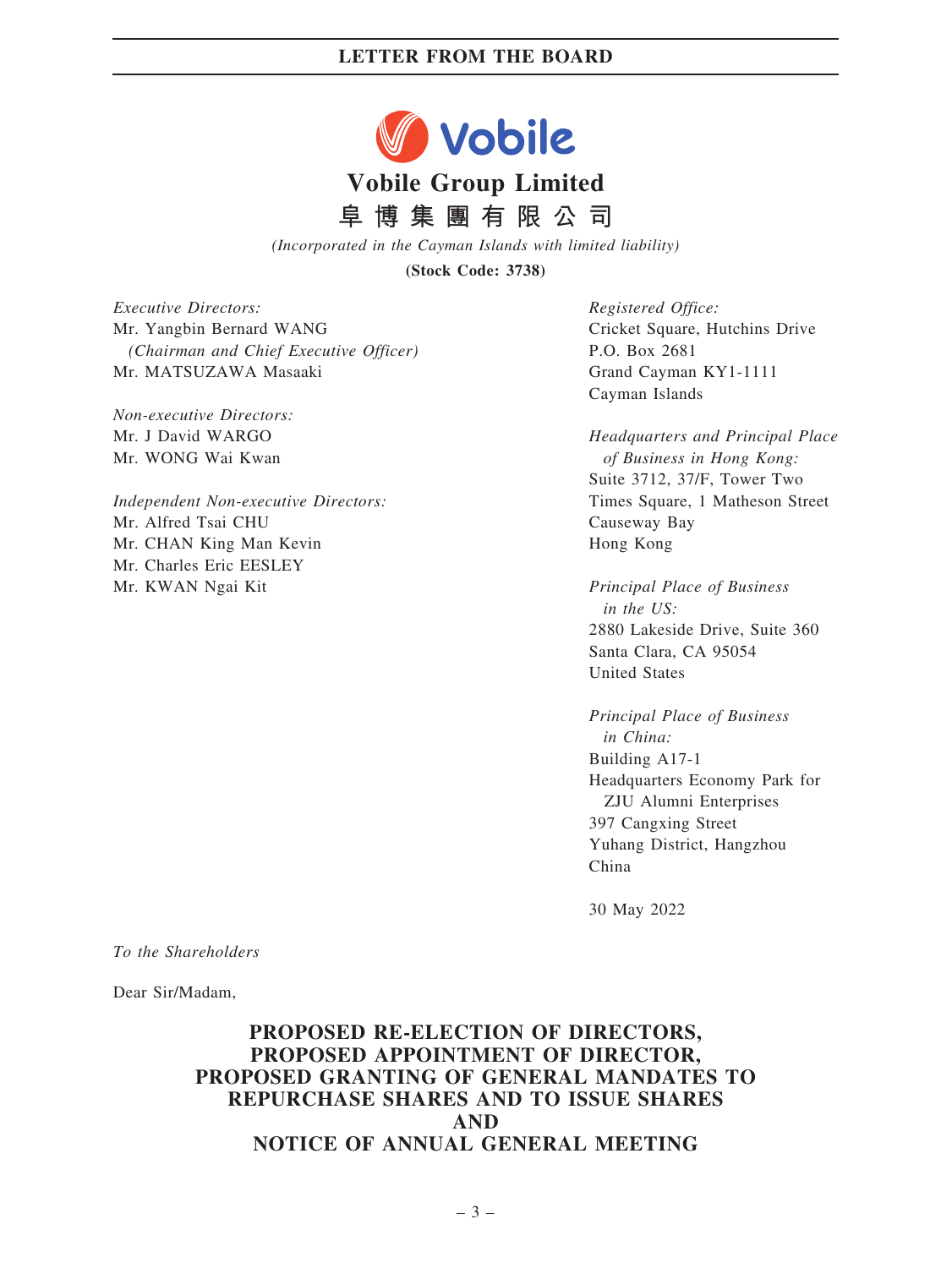

阜 博 集 團 有 限 公 司

(Incorporated in the Cayman Islands with limited liability)

(Stock Code: 3738)

Executive Directors: Mr. Yangbin Bernard WANG (Chairman and Chief Executive Officer) Mr. MATSUZAWA Masaaki

Non-executive Directors: Mr. J David WARGO Mr. WONG Wai Kwan

Independent Non-executive Directors: Mr. Alfred Tsai CHU Mr. CHAN King Man Kevin Mr. Charles Eric EESLEY Mr. KWAN Ngai Kit

Registered Office: Cricket Square, Hutchins Drive P.O. Box 2681 Grand Cayman KY1-1111 Cayman Islands

Headquarters and Principal Place of Business in Hong Kong: Suite 3712, 37/F, Tower Two Times Square, 1 Matheson Street Causeway Bay Hong Kong

Principal Place of Business in the US: 2880 Lakeside Drive, Suite 360 Santa Clara, CA 95054 United States

Principal Place of Business in China: Building A17-1 Headquarters Economy Park for ZJU Alumni Enterprises 397 Cangxing Street Yuhang District, Hangzhou China

30 May 2022

To the Shareholders

Dear Sir/Madam,

## PROPOSED RE-ELECTION OF DIRECTORS, PROPOSED APPOINTMENT OF DIRECTOR, PROPOSED GRANTING OF GENERAL MANDATES TO REPURCHASE SHARES AND TO ISSUE SHARES AND NOTICE OF ANNUAL GENERAL MEETING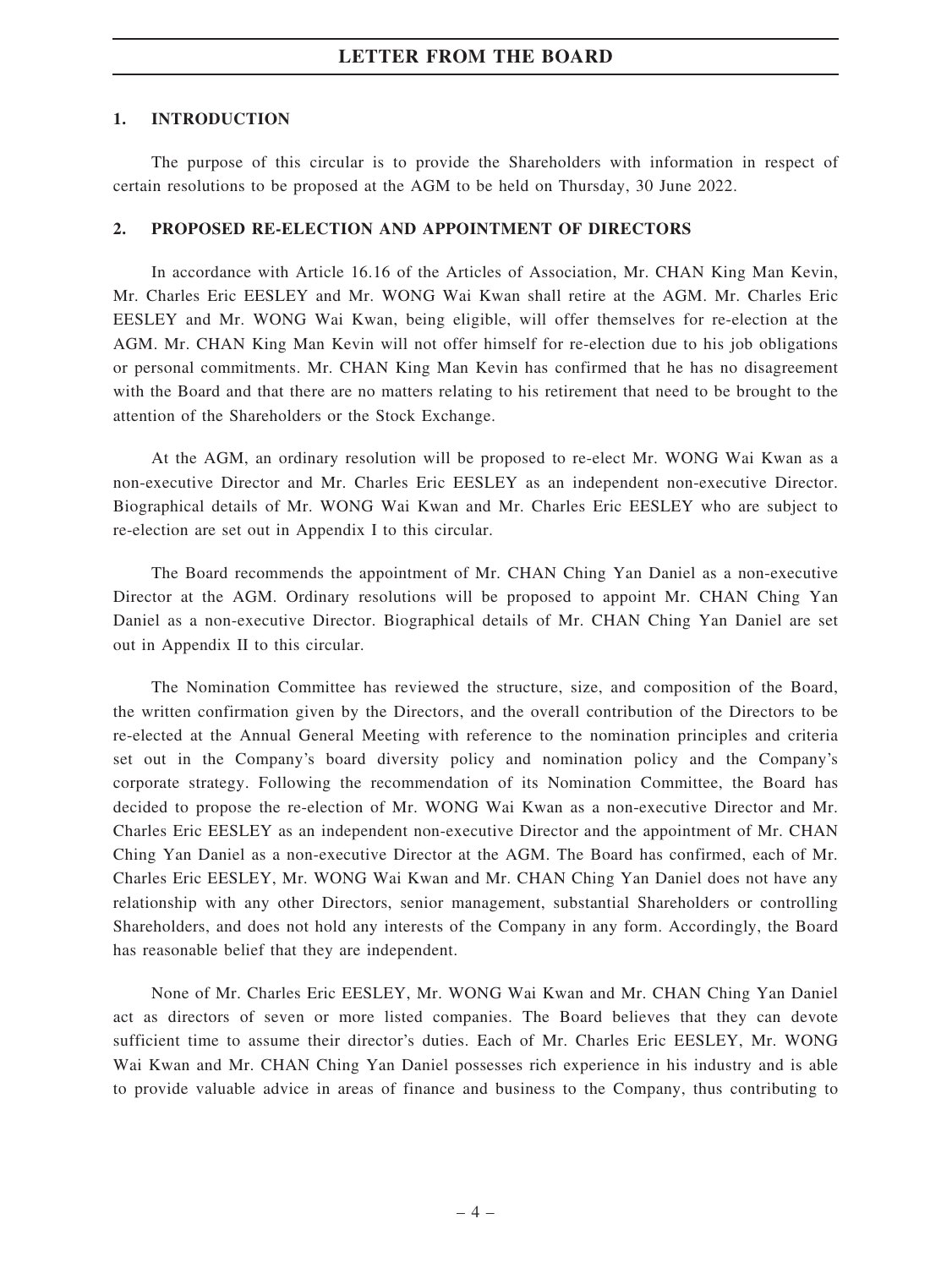### 1. INTRODUCTION

The purpose of this circular is to provide the Shareholders with information in respect of certain resolutions to be proposed at the AGM to be held on Thursday, 30 June 2022.

### 2. PROPOSED RE-ELECTION AND APPOINTMENT OF DIRECTORS

In accordance with Article 16.16 of the Articles of Association, Mr. CHAN King Man Kevin, Mr. Charles Eric EESLEY and Mr. WONG Wai Kwan shall retire at the AGM. Mr. Charles Eric EESLEY and Mr. WONG Wai Kwan, being eligible, will offer themselves for re-election at the AGM. Mr. CHAN King Man Kevin will not offer himself for re-election due to his job obligations or personal commitments. Mr. CHAN King Man Kevin has confirmed that he has no disagreement with the Board and that there are no matters relating to his retirement that need to be brought to the attention of the Shareholders or the Stock Exchange.

At the AGM, an ordinary resolution will be proposed to re-elect Mr. WONG Wai Kwan as a non-executive Director and Mr. Charles Eric EESLEY as an independent non-executive Director. Biographical details of Mr. WONG Wai Kwan and Mr. Charles Eric EESLEY who are subject to re-election are set out in Appendix I to this circular.

The Board recommends the appointment of Mr. CHAN Ching Yan Daniel as a non-executive Director at the AGM. Ordinary resolutions will be proposed to appoint Mr. CHAN Ching Yan Daniel as a non-executive Director. Biographical details of Mr. CHAN Ching Yan Daniel are set out in Appendix II to this circular.

The Nomination Committee has reviewed the structure, size, and composition of the Board, the written confirmation given by the Directors, and the overall contribution of the Directors to be re-elected at the Annual General Meeting with reference to the nomination principles and criteria set out in the Company's board diversity policy and nomination policy and the Company's corporate strategy. Following the recommendation of its Nomination Committee, the Board has decided to propose the re-election of Mr. WONG Wai Kwan as a non-executive Director and Mr. Charles Eric EESLEY as an independent non-executive Director and the appointment of Mr. CHAN Ching Yan Daniel as a non-executive Director at the AGM. The Board has confirmed, each of Mr. Charles Eric EESLEY, Mr. WONG Wai Kwan and Mr. CHAN Ching Yan Daniel does not have any relationship with any other Directors, senior management, substantial Shareholders or controlling Shareholders, and does not hold any interests of the Company in any form. Accordingly, the Board has reasonable belief that they are independent.

None of Mr. Charles Eric EESLEY, Mr. WONG Wai Kwan and Mr. CHAN Ching Yan Daniel act as directors of seven or more listed companies. The Board believes that they can devote sufficient time to assume their director's duties. Each of Mr. Charles Eric EESLEY, Mr. WONG Wai Kwan and Mr. CHAN Ching Yan Daniel possesses rich experience in his industry and is able to provide valuable advice in areas of finance and business to the Company, thus contributing to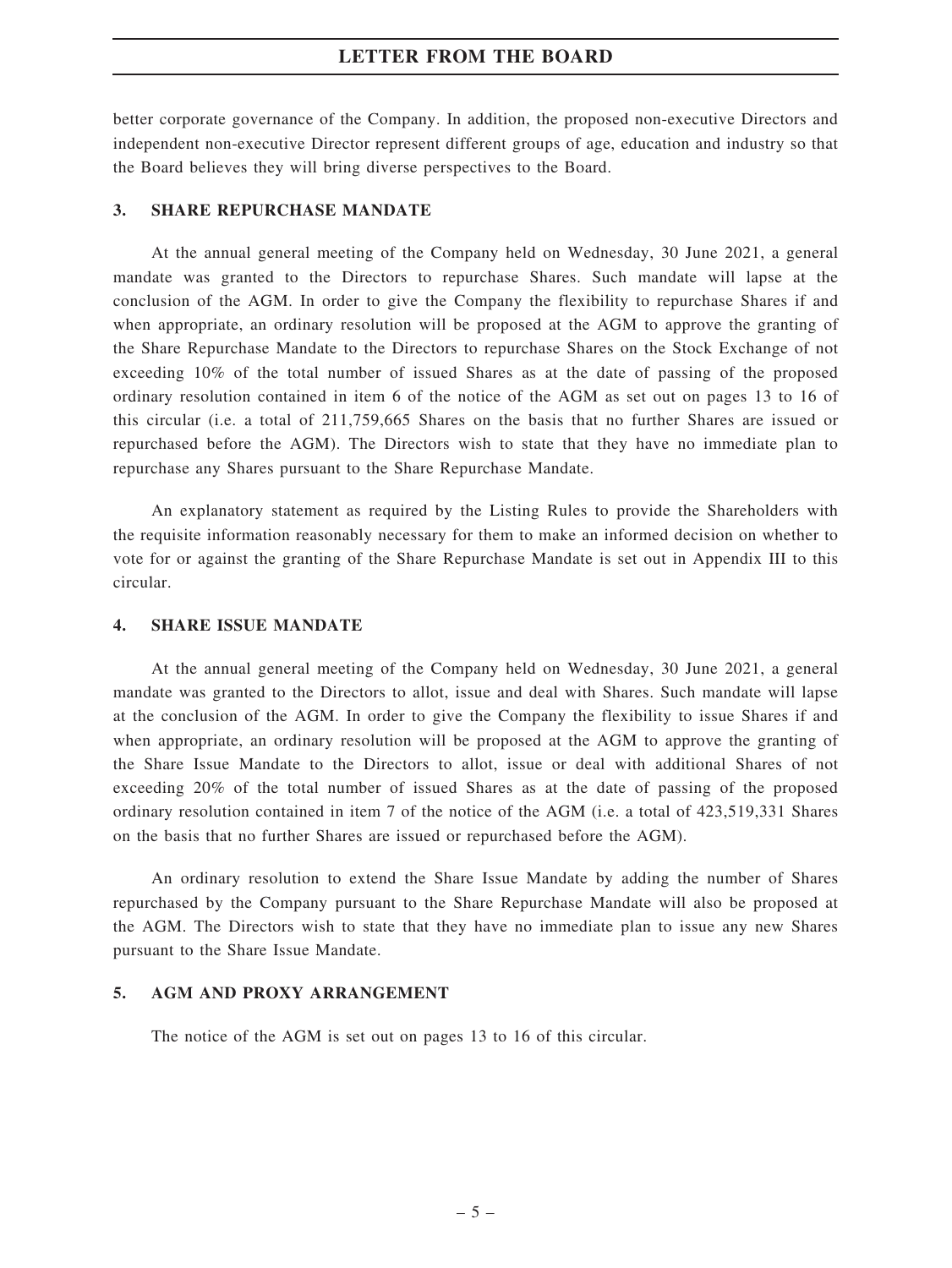better corporate governance of the Company. In addition, the proposed non-executive Directors and independent non-executive Director represent different groups of age, education and industry so that the Board believes they will bring diverse perspectives to the Board.

### 3. SHARE REPURCHASE MANDATE

At the annual general meeting of the Company held on Wednesday, 30 June 2021, a general mandate was granted to the Directors to repurchase Shares. Such mandate will lapse at the conclusion of the AGM. In order to give the Company the flexibility to repurchase Shares if and when appropriate, an ordinary resolution will be proposed at the AGM to approve the granting of the Share Repurchase Mandate to the Directors to repurchase Shares on the Stock Exchange of not exceeding 10% of the total number of issued Shares as at the date of passing of the proposed ordinary resolution contained in item 6 of the notice of the AGM as set out on pages 13 to 16 of this circular (i.e. a total of 211,759,665 Shares on the basis that no further Shares are issued or repurchased before the AGM). The Directors wish to state that they have no immediate plan to repurchase any Shares pursuant to the Share Repurchase Mandate.

An explanatory statement as required by the Listing Rules to provide the Shareholders with the requisite information reasonably necessary for them to make an informed decision on whether to vote for or against the granting of the Share Repurchase Mandate is set out in Appendix III to this circular.

### 4. SHARE ISSUE MANDATE

At the annual general meeting of the Company held on Wednesday, 30 June 2021, a general mandate was granted to the Directors to allot, issue and deal with Shares. Such mandate will lapse at the conclusion of the AGM. In order to give the Company the flexibility to issue Shares if and when appropriate, an ordinary resolution will be proposed at the AGM to approve the granting of the Share Issue Mandate to the Directors to allot, issue or deal with additional Shares of not exceeding 20% of the total number of issued Shares as at the date of passing of the proposed ordinary resolution contained in item 7 of the notice of the AGM (i.e. a total of 423,519,331 Shares on the basis that no further Shares are issued or repurchased before the AGM).

An ordinary resolution to extend the Share Issue Mandate by adding the number of Shares repurchased by the Company pursuant to the Share Repurchase Mandate will also be proposed at the AGM. The Directors wish to state that they have no immediate plan to issue any new Shares pursuant to the Share Issue Mandate.

### 5. AGM AND PROXY ARRANGEMENT

The notice of the AGM is set out on pages 13 to 16 of this circular.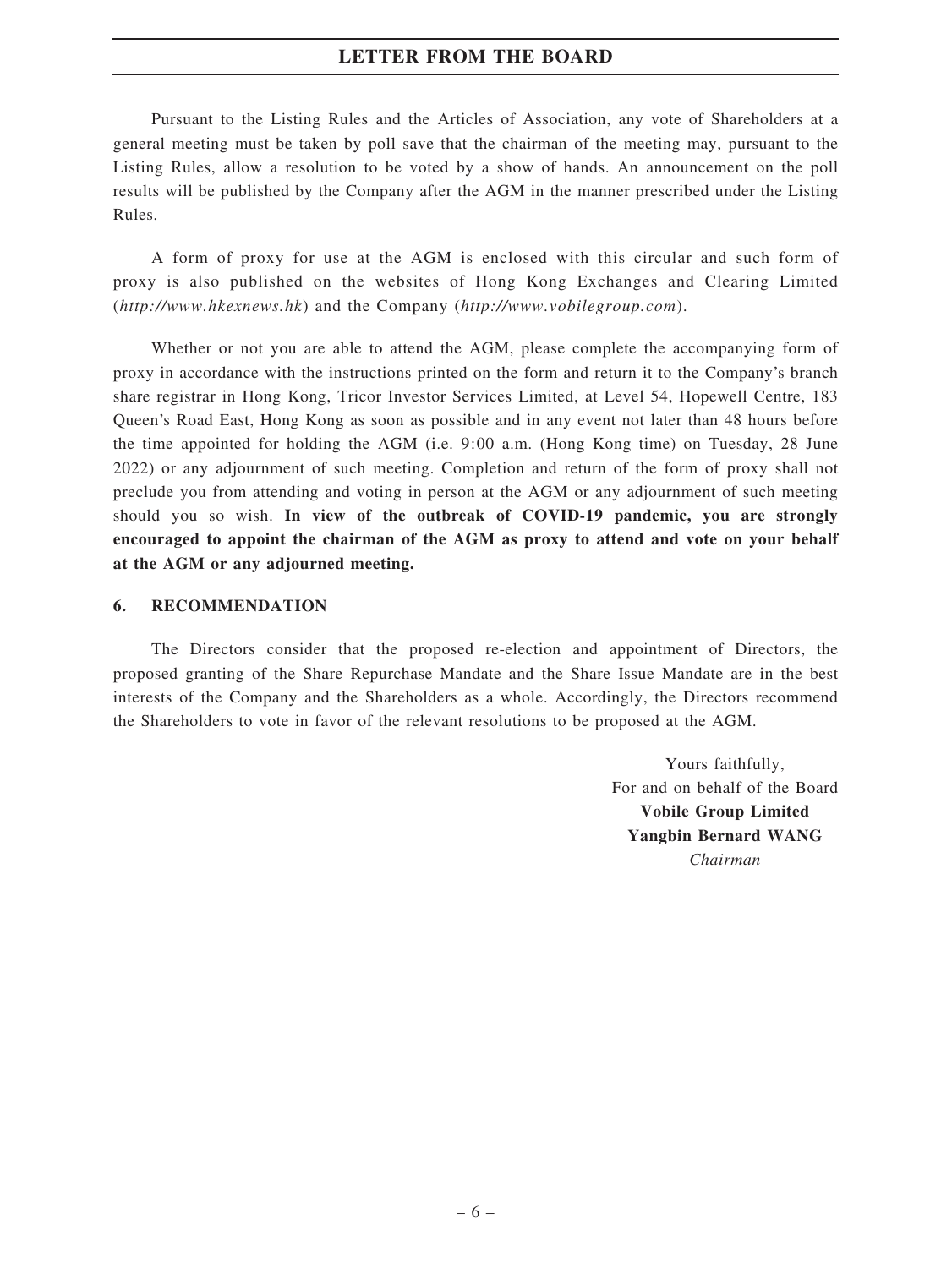Pursuant to the Listing Rules and the Articles of Association, any vote of Shareholders at a general meeting must be taken by poll save that the chairman of the meeting may, pursuant to the Listing Rules, allow a resolution to be voted by a show of hands. An announcement on the poll results will be published by the Company after the AGM in the manner prescribed under the Listing Rules.

A form of proxy for use at the AGM is enclosed with this circular and such form of proxy is also published on the websites of Hong Kong Exchanges and Clearing Limited (http://www.hkexnews.hk) and the Company (http://www.vobilegroup.com).

Whether or not you are able to attend the AGM, please complete the accompanying form of proxy in accordance with the instructions printed on the form and return it to the Company's branch share registrar in Hong Kong, Tricor Investor Services Limited, at Level 54, Hopewell Centre, 183 Queen's Road East, Hong Kong as soon as possible and in any event not later than 48 hours before the time appointed for holding the AGM (i.e. 9:00 a.m. (Hong Kong time) on Tuesday, 28 June 2022) or any adjournment of such meeting. Completion and return of the form of proxy shall not preclude you from attending and voting in person at the AGM or any adjournment of such meeting should you so wish. In view of the outbreak of COVID-19 pandemic, you are strongly encouraged to appoint the chairman of the AGM as proxy to attend and vote on your behalf at the AGM or any adjourned meeting.

### 6. RECOMMENDATION

The Directors consider that the proposed re-election and appointment of Directors, the proposed granting of the Share Repurchase Mandate and the Share Issue Mandate are in the best interests of the Company and the Shareholders as a whole. Accordingly, the Directors recommend the Shareholders to vote in favor of the relevant resolutions to be proposed at the AGM.

> Yours faithfully, For and on behalf of the Board Vobile Group Limited Yangbin Bernard WANG Chairman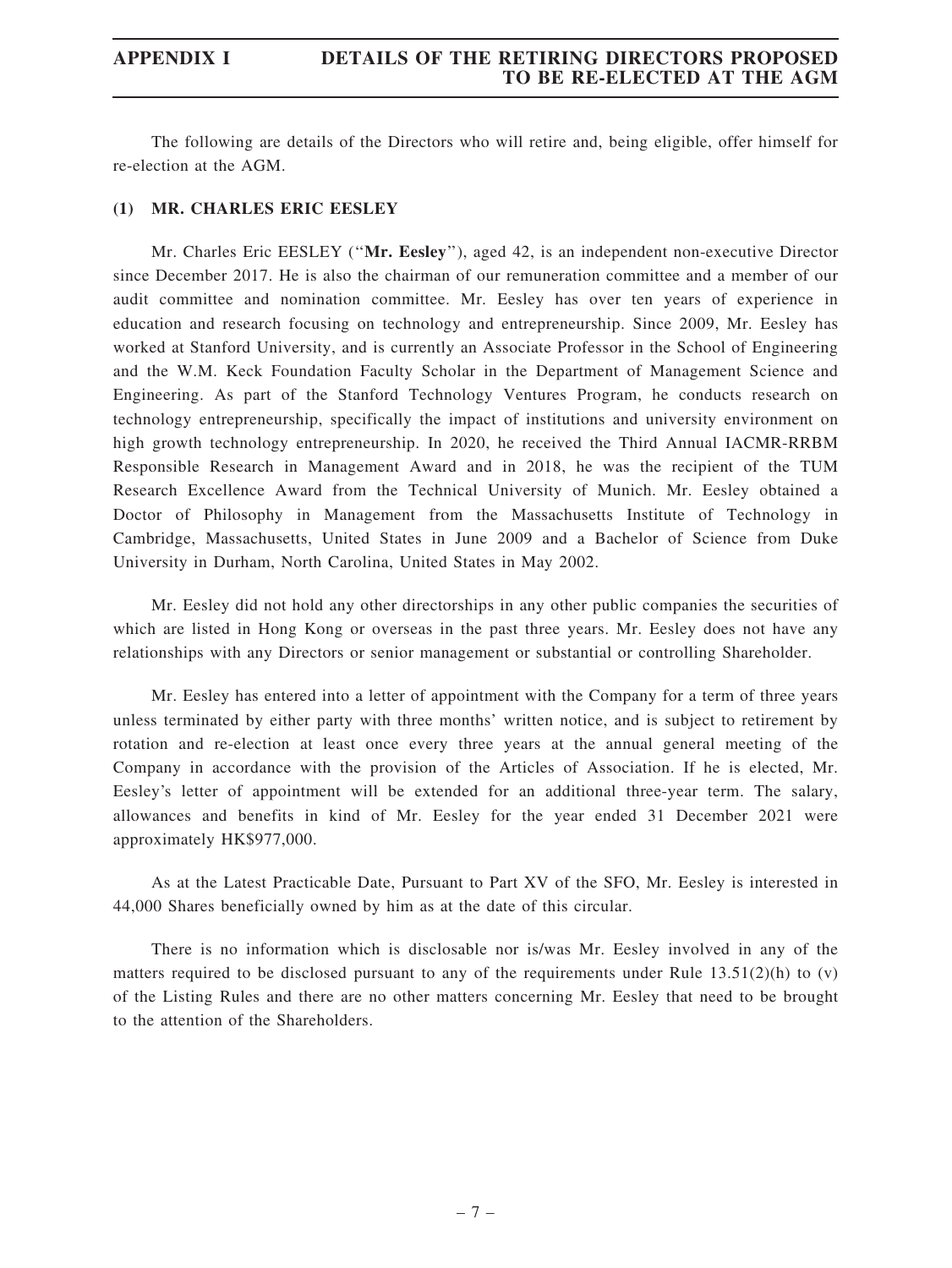## APPENDIX I DETAILS OF THE RETIRING DIRECTORS PROPOSED TO BE RE-ELECTED AT THE AGM

The following are details of the Directors who will retire and, being eligible, offer himself for re-election at the AGM.

### (1) MR. CHARLES ERIC EESLEY

Mr. Charles Eric EESLEY (''Mr. Eesley''), aged 42, is an independent non-executive Director since December 2017. He is also the chairman of our remuneration committee and a member of our audit committee and nomination committee. Mr. Eesley has over ten years of experience in education and research focusing on technology and entrepreneurship. Since 2009, Mr. Eesley has worked at Stanford University, and is currently an Associate Professor in the School of Engineering and the W.M. Keck Foundation Faculty Scholar in the Department of Management Science and Engineering. As part of the Stanford Technology Ventures Program, he conducts research on technology entrepreneurship, specifically the impact of institutions and university environment on high growth technology entrepreneurship. In 2020, he received the Third Annual IACMR-RRBM Responsible Research in Management Award and in 2018, he was the recipient of the TUM Research Excellence Award from the Technical University of Munich. Mr. Eesley obtained a Doctor of Philosophy in Management from the Massachusetts Institute of Technology in Cambridge, Massachusetts, United States in June 2009 and a Bachelor of Science from Duke University in Durham, North Carolina, United States in May 2002.

Mr. Eesley did not hold any other directorships in any other public companies the securities of which are listed in Hong Kong or overseas in the past three years. Mr. Eesley does not have any relationships with any Directors or senior management or substantial or controlling Shareholder.

Mr. Eesley has entered into a letter of appointment with the Company for a term of three years unless terminated by either party with three months' written notice, and is subject to retirement by rotation and re-election at least once every three years at the annual general meeting of the Company in accordance with the provision of the Articles of Association. If he is elected, Mr. Eesley's letter of appointment will be extended for an additional three-year term. The salary, allowances and benefits in kind of Mr. Eesley for the year ended 31 December 2021 were approximately HK\$977,000.

As at the Latest Practicable Date, Pursuant to Part XV of the SFO, Mr. Eesley is interested in 44,000 Shares beneficially owned by him as at the date of this circular.

There is no information which is disclosable nor is/was Mr. Eesley involved in any of the matters required to be disclosed pursuant to any of the requirements under Rule 13.51(2)(h) to (v) of the Listing Rules and there are no other matters concerning Mr. Eesley that need to be brought to the attention of the Shareholders.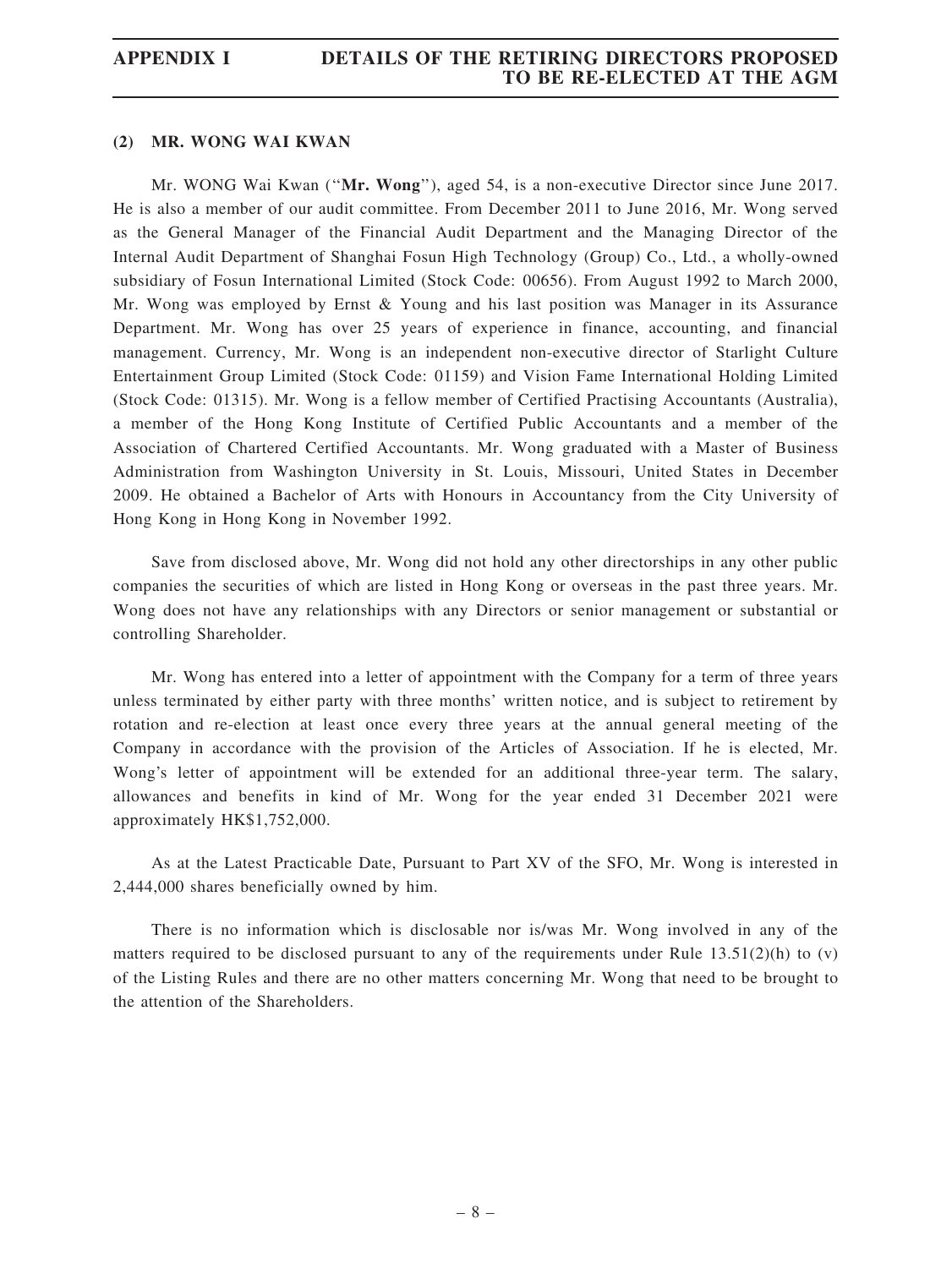## APPENDIX I DETAILS OF THE RETIRING DIRECTORS PROPOSED TO BE RE-ELECTED AT THE AGM

### (2) MR. WONG WAI KWAN

Mr. WONG Wai Kwan ("Mr. Wong"), aged 54, is a non-executive Director since June 2017. He is also a member of our audit committee. From December 2011 to June 2016, Mr. Wong served as the General Manager of the Financial Audit Department and the Managing Director of the Internal Audit Department of Shanghai Fosun High Technology (Group) Co., Ltd., a wholly-owned subsidiary of Fosun International Limited (Stock Code: 00656). From August 1992 to March 2000, Mr. Wong was employed by Ernst & Young and his last position was Manager in its Assurance Department. Mr. Wong has over 25 years of experience in finance, accounting, and financial management. Currency, Mr. Wong is an independent non-executive director of Starlight Culture Entertainment Group Limited (Stock Code: 01159) and Vision Fame International Holding Limited (Stock Code: 01315). Mr. Wong is a fellow member of Certified Practising Accountants (Australia), a member of the Hong Kong Institute of Certified Public Accountants and a member of the Association of Chartered Certified Accountants. Mr. Wong graduated with a Master of Business Administration from Washington University in St. Louis, Missouri, United States in December 2009. He obtained a Bachelor of Arts with Honours in Accountancy from the City University of Hong Kong in Hong Kong in November 1992.

Save from disclosed above, Mr. Wong did not hold any other directorships in any other public companies the securities of which are listed in Hong Kong or overseas in the past three years. Mr. Wong does not have any relationships with any Directors or senior management or substantial or controlling Shareholder.

Mr. Wong has entered into a letter of appointment with the Company for a term of three years unless terminated by either party with three months' written notice, and is subject to retirement by rotation and re-election at least once every three years at the annual general meeting of the Company in accordance with the provision of the Articles of Association. If he is elected, Mr. Wong's letter of appointment will be extended for an additional three-year term. The salary, allowances and benefits in kind of Mr. Wong for the year ended 31 December 2021 were approximately HK\$1,752,000.

As at the Latest Practicable Date, Pursuant to Part XV of the SFO, Mr. Wong is interested in 2,444,000 shares beneficially owned by him.

There is no information which is disclosable nor is/was Mr. Wong involved in any of the matters required to be disclosed pursuant to any of the requirements under Rule  $13.51(2)(h)$  to (v) of the Listing Rules and there are no other matters concerning Mr. Wong that need to be brought to the attention of the Shareholders.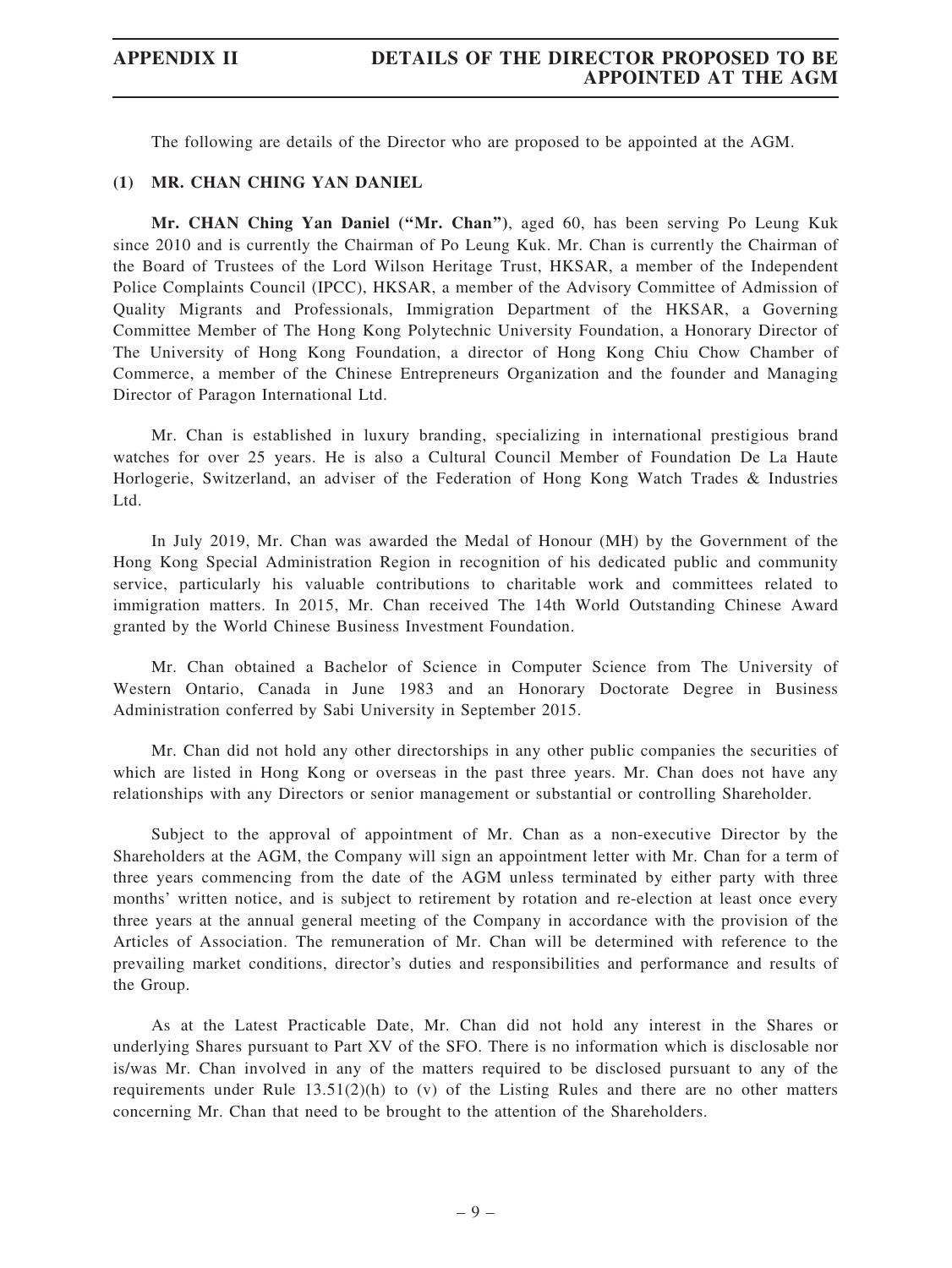The following are details of the Director who are proposed to be appointed at the AGM.

### (1) MR. CHAN CHING YAN DANIEL

Mr. CHAN Ching Yan Daniel (''Mr. Chan''), aged 60, has been serving Po Leung Kuk since 2010 and is currently the Chairman of Po Leung Kuk. Mr. Chan is currently the Chairman of the Board of Trustees of the Lord Wilson Heritage Trust, HKSAR, a member of the Independent Police Complaints Council (IPCC), HKSAR, a member of the Advisory Committee of Admission of Quality Migrants and Professionals, Immigration Department of the HKSAR, a Governing Committee Member of The Hong Kong Polytechnic University Foundation, a Honorary Director of The University of Hong Kong Foundation, a director of Hong Kong Chiu Chow Chamber of Commerce, a member of the Chinese Entrepreneurs Organization and the founder and Managing Director of Paragon International Ltd.

Mr. Chan is established in luxury branding, specializing in international prestigious brand watches for over 25 years. He is also a Cultural Council Member of Foundation De La Haute Horlogerie, Switzerland, an adviser of the Federation of Hong Kong Watch Trades & Industries Ltd.

In July 2019, Mr. Chan was awarded the Medal of Honour (MH) by the Government of the Hong Kong Special Administration Region in recognition of his dedicated public and community service, particularly his valuable contributions to charitable work and committees related to immigration matters. In 2015, Mr. Chan received The 14th World Outstanding Chinese Award granted by the World Chinese Business Investment Foundation.

Mr. Chan obtained a Bachelor of Science in Computer Science from The University of Western Ontario, Canada in June 1983 and an Honorary Doctorate Degree in Business Administration conferred by Sabi University in September 2015.

Mr. Chan did not hold any other directorships in any other public companies the securities of which are listed in Hong Kong or overseas in the past three years. Mr. Chan does not have any relationships with any Directors or senior management or substantial or controlling Shareholder.

Subject to the approval of appointment of Mr. Chan as a non-executive Director by the Shareholders at the AGM, the Company will sign an appointment letter with Mr. Chan for a term of three years commencing from the date of the AGM unless terminated by either party with three months' written notice, and is subject to retirement by rotation and re-election at least once every three years at the annual general meeting of the Company in accordance with the provision of the Articles of Association. The remuneration of Mr. Chan will be determined with reference to the prevailing market conditions, director's duties and responsibilities and performance and results of the Group.

As at the Latest Practicable Date, Mr. Chan did not hold any interest in the Shares or underlying Shares pursuant to Part XV of the SFO. There is no information which is disclosable nor is/was Mr. Chan involved in any of the matters required to be disclosed pursuant to any of the requirements under Rule  $13.51(2)(h)$  to (v) of the Listing Rules and there are no other matters concerning Mr. Chan that need to be brought to the attention of the Shareholders.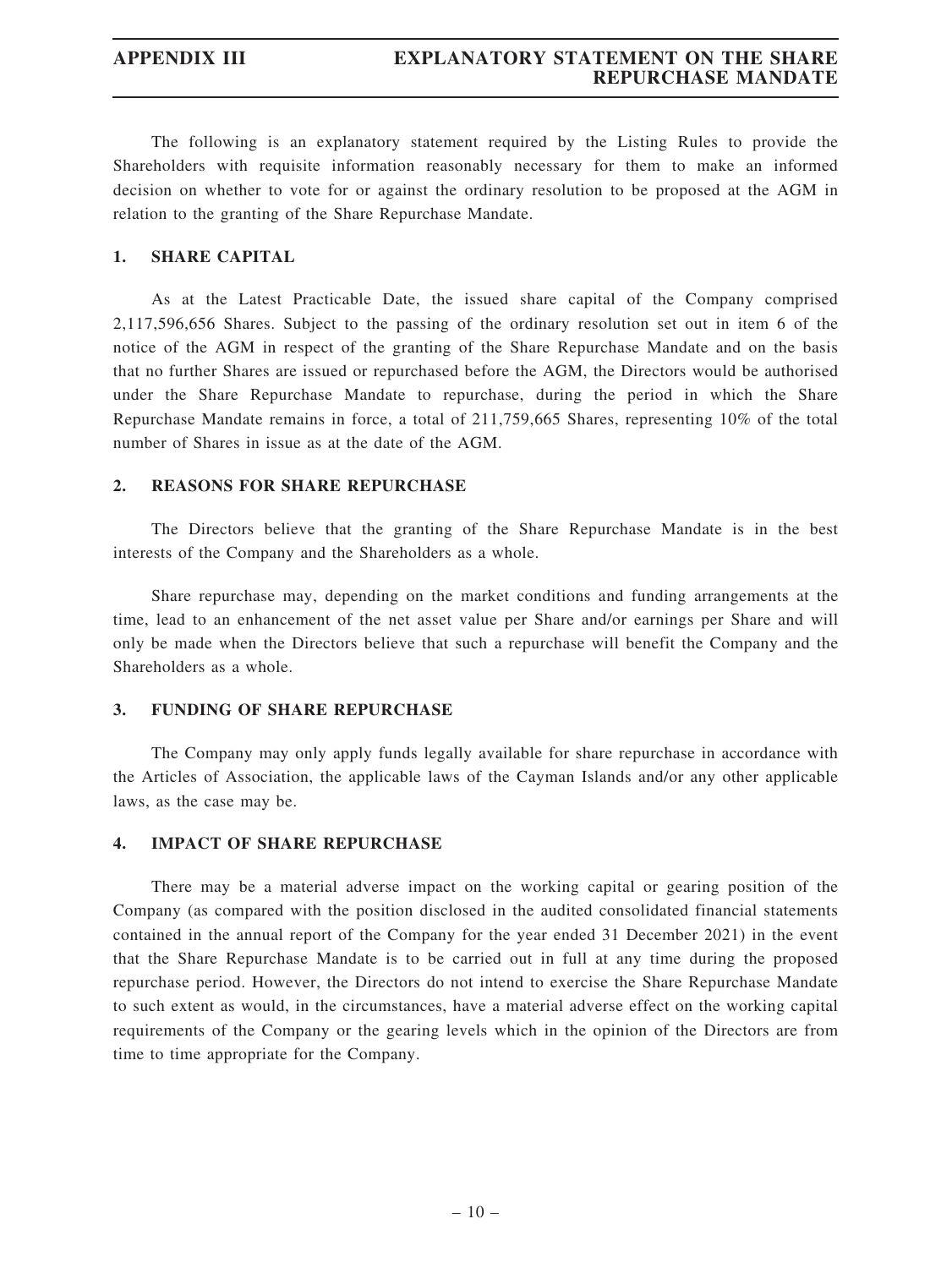The following is an explanatory statement required by the Listing Rules to provide the Shareholders with requisite information reasonably necessary for them to make an informed decision on whether to vote for or against the ordinary resolution to be proposed at the AGM in relation to the granting of the Share Repurchase Mandate.

## 1. SHARE CAPITAL

As at the Latest Practicable Date, the issued share capital of the Company comprised 2,117,596,656 Shares. Subject to the passing of the ordinary resolution set out in item 6 of the notice of the AGM in respect of the granting of the Share Repurchase Mandate and on the basis that no further Shares are issued or repurchased before the AGM, the Directors would be authorised under the Share Repurchase Mandate to repurchase, during the period in which the Share Repurchase Mandate remains in force, a total of 211,759,665 Shares, representing 10% of the total number of Shares in issue as at the date of the AGM.

### 2. REASONS FOR SHARE REPURCHASE

The Directors believe that the granting of the Share Repurchase Mandate is in the best interests of the Company and the Shareholders as a whole.

Share repurchase may, depending on the market conditions and funding arrangements at the time, lead to an enhancement of the net asset value per Share and/or earnings per Share and will only be made when the Directors believe that such a repurchase will benefit the Company and the Shareholders as a whole.

### 3. FUNDING OF SHARE REPURCHASE

The Company may only apply funds legally available for share repurchase in accordance with the Articles of Association, the applicable laws of the Cayman Islands and/or any other applicable laws, as the case may be.

### 4. IMPACT OF SHARE REPURCHASE

There may be a material adverse impact on the working capital or gearing position of the Company (as compared with the position disclosed in the audited consolidated financial statements contained in the annual report of the Company for the year ended 31 December 2021) in the event that the Share Repurchase Mandate is to be carried out in full at any time during the proposed repurchase period. However, the Directors do not intend to exercise the Share Repurchase Mandate to such extent as would, in the circumstances, have a material adverse effect on the working capital requirements of the Company or the gearing levels which in the opinion of the Directors are from time to time appropriate for the Company.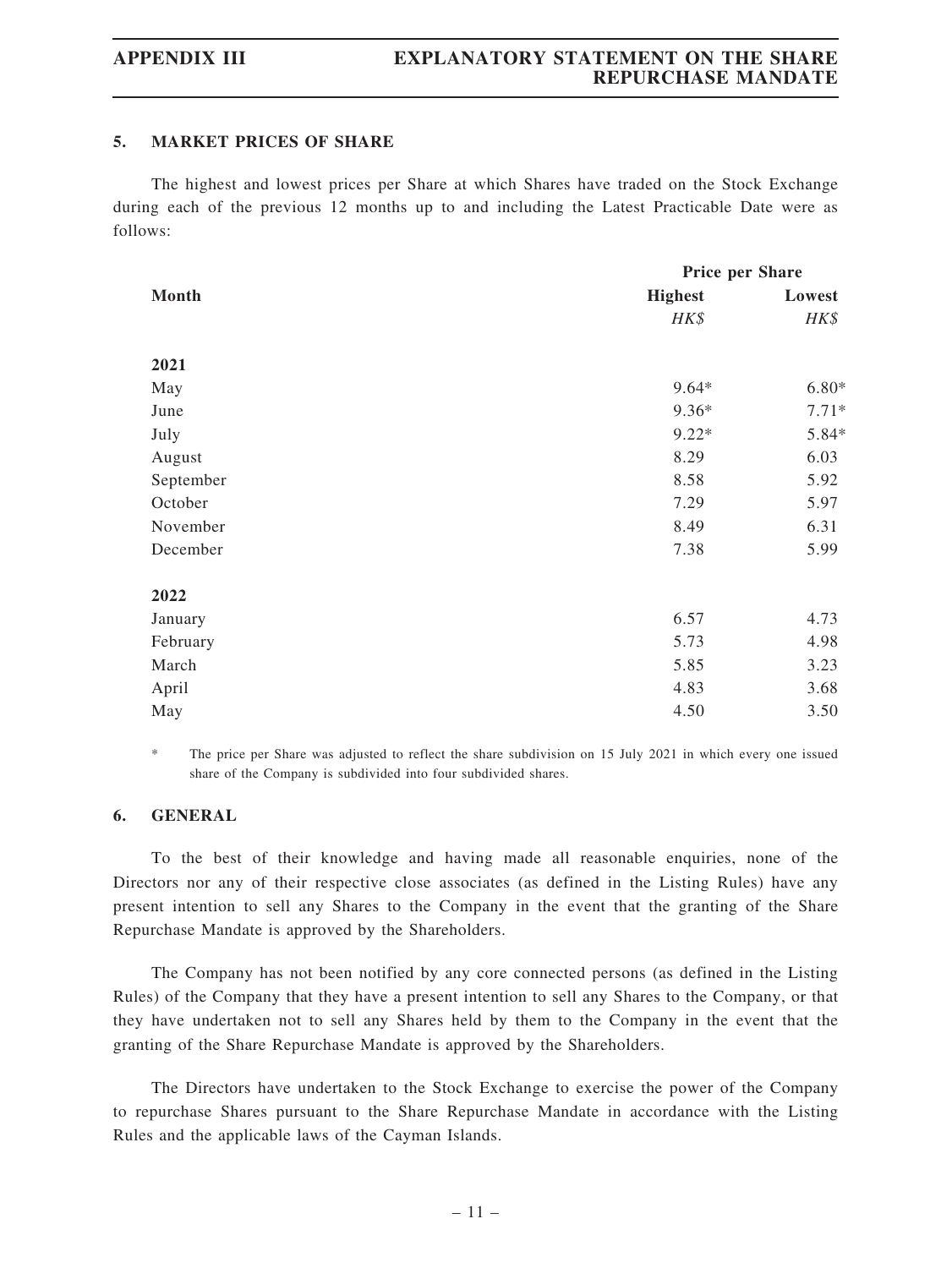### 5. MARKET PRICES OF SHARE

The highest and lowest prices per Share at which Shares have traded on the Stock Exchange during each of the previous 12 months up to and including the Latest Practicable Date were as follows:

|           | Price per Share |         |  |
|-----------|-----------------|---------|--|
| Month     | <b>Highest</b>  | Lowest  |  |
|           | HK\$            | HK\$    |  |
| 2021      |                 |         |  |
| May       | $9.64*$         | $6.80*$ |  |
| June      | 9.36*           | $7.71*$ |  |
| July      | $9.22*$         | 5.84*   |  |
| August    | 8.29            | 6.03    |  |
| September | 8.58            | 5.92    |  |
| October   | 7.29            | 5.97    |  |
| November  | 8.49            | 6.31    |  |
| December  | 7.38            | 5.99    |  |
| 2022      |                 |         |  |
| January   | 6.57            | 4.73    |  |
| February  | 5.73            | 4.98    |  |
| March     | 5.85            | 3.23    |  |
| April     | 4.83            | 3.68    |  |
| May       | 4.50            | 3.50    |  |

The price per Share was adjusted to reflect the share subdivision on 15 July 2021 in which every one issued share of the Company is subdivided into four subdivided shares.

### 6. GENERAL

To the best of their knowledge and having made all reasonable enquiries, none of the Directors nor any of their respective close associates (as defined in the Listing Rules) have any present intention to sell any Shares to the Company in the event that the granting of the Share Repurchase Mandate is approved by the Shareholders.

The Company has not been notified by any core connected persons (as defined in the Listing Rules) of the Company that they have a present intention to sell any Shares to the Company, or that they have undertaken not to sell any Shares held by them to the Company in the event that the granting of the Share Repurchase Mandate is approved by the Shareholders.

The Directors have undertaken to the Stock Exchange to exercise the power of the Company to repurchase Shares pursuant to the Share Repurchase Mandate in accordance with the Listing Rules and the applicable laws of the Cayman Islands.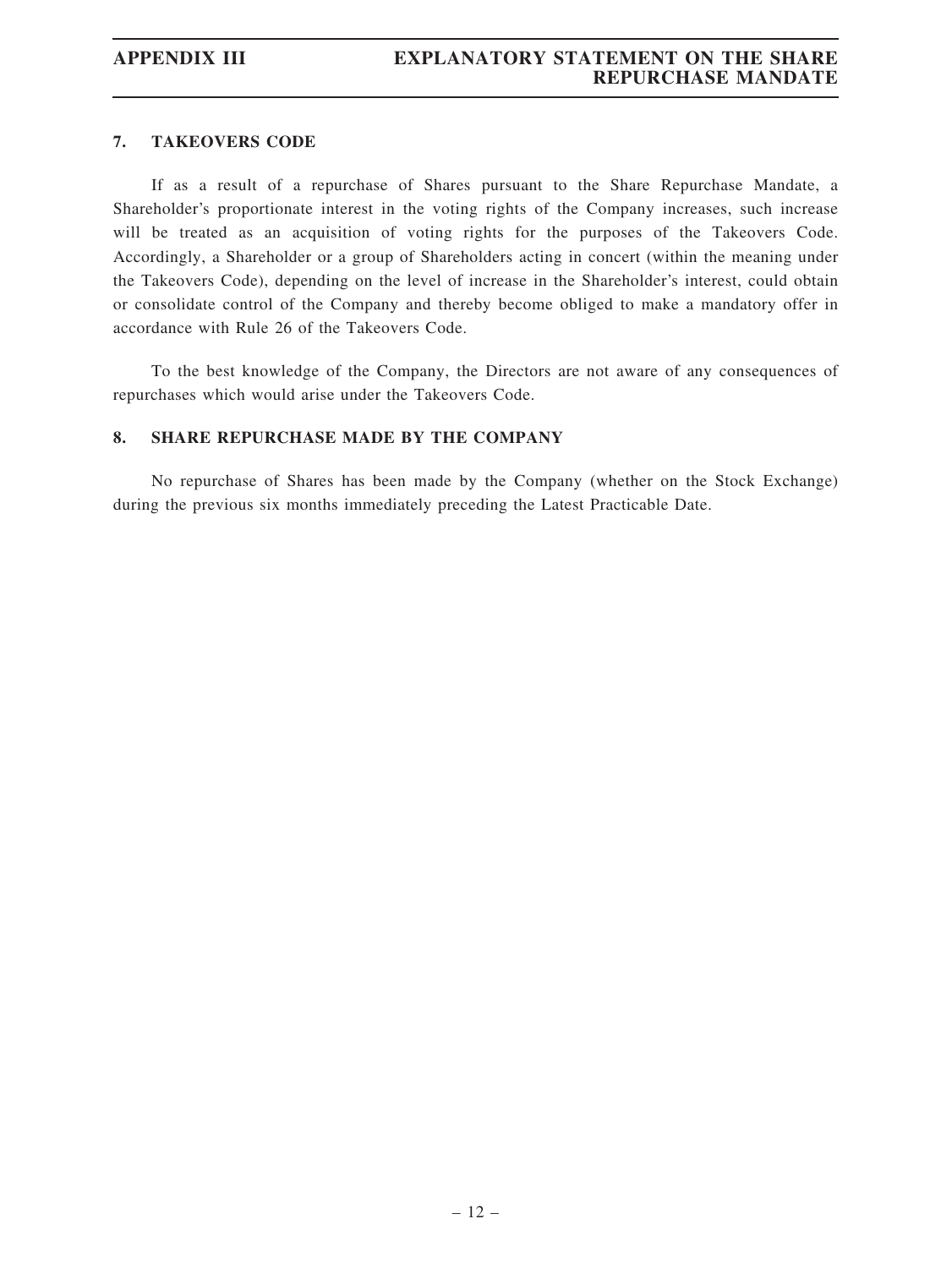### 7. TAKEOVERS CODE

If as a result of a repurchase of Shares pursuant to the Share Repurchase Mandate, a Shareholder's proportionate interest in the voting rights of the Company increases, such increase will be treated as an acquisition of voting rights for the purposes of the Takeovers Code. Accordingly, a Shareholder or a group of Shareholders acting in concert (within the meaning under the Takeovers Code), depending on the level of increase in the Shareholder's interest, could obtain or consolidate control of the Company and thereby become obliged to make a mandatory offer in accordance with Rule 26 of the Takeovers Code.

To the best knowledge of the Company, the Directors are not aware of any consequences of repurchases which would arise under the Takeovers Code.

### 8. SHARE REPURCHASE MADE BY THE COMPANY

No repurchase of Shares has been made by the Company (whether on the Stock Exchange) during the previous six months immediately preceding the Latest Practicable Date.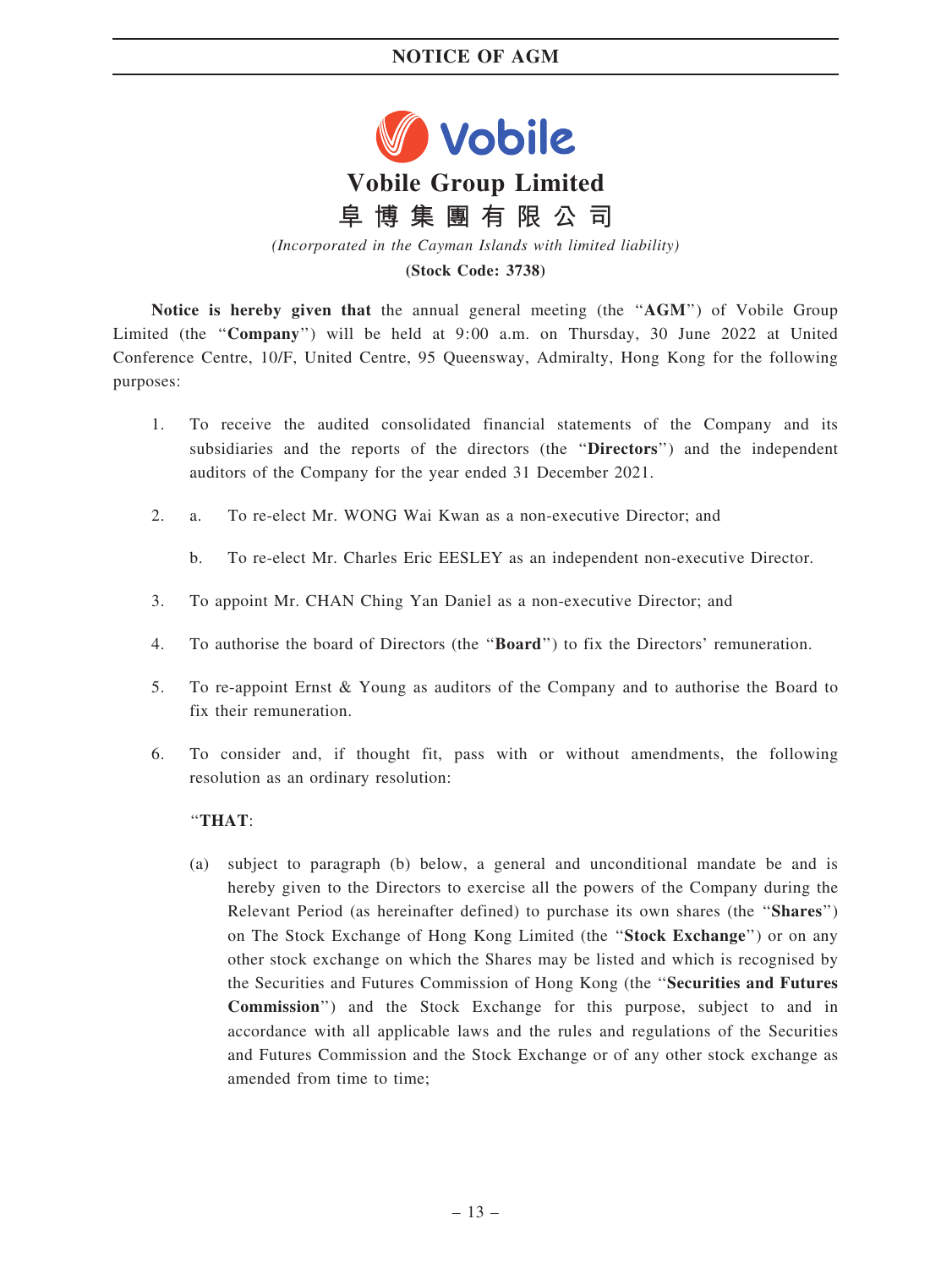## NOTICE OF AGM



(Stock Code: 3738)

Notice is hereby given that the annual general meeting (the "AGM") of Vobile Group Limited (the "Company") will be held at  $9:00$  a.m. on Thursday, 30 June 2022 at United Conference Centre, 10/F, United Centre, 95 Queensway, Admiralty, Hong Kong for the following purposes:

- 1. To receive the audited consolidated financial statements of the Company and its subsidiaries and the reports of the directors (the ''Directors'') and the independent auditors of the Company for the year ended 31 December 2021.
- 2. a. To re-elect Mr. WONG Wai Kwan as a non-executive Director; and
	- b. To re-elect Mr. Charles Eric EESLEY as an independent non-executive Director.
- 3. To appoint Mr. CHAN Ching Yan Daniel as a non-executive Director; and
- 4. To authorise the board of Directors (the ''Board'') to fix the Directors' remuneration.
- 5. To re-appoint Ernst & Young as auditors of the Company and to authorise the Board to fix their remuneration.
- 6. To consider and, if thought fit, pass with or without amendments, the following resolution as an ordinary resolution:

## ''THAT:

(a) subject to paragraph (b) below, a general and unconditional mandate be and is hereby given to the Directors to exercise all the powers of the Company during the Relevant Period (as hereinafter defined) to purchase its own shares (the ''Shares'') on The Stock Exchange of Hong Kong Limited (the ''Stock Exchange'') or on any other stock exchange on which the Shares may be listed and which is recognised by the Securities and Futures Commission of Hong Kong (the ''Securities and Futures Commission'') and the Stock Exchange for this purpose, subject to and in accordance with all applicable laws and the rules and regulations of the Securities and Futures Commission and the Stock Exchange or of any other stock exchange as amended from time to time;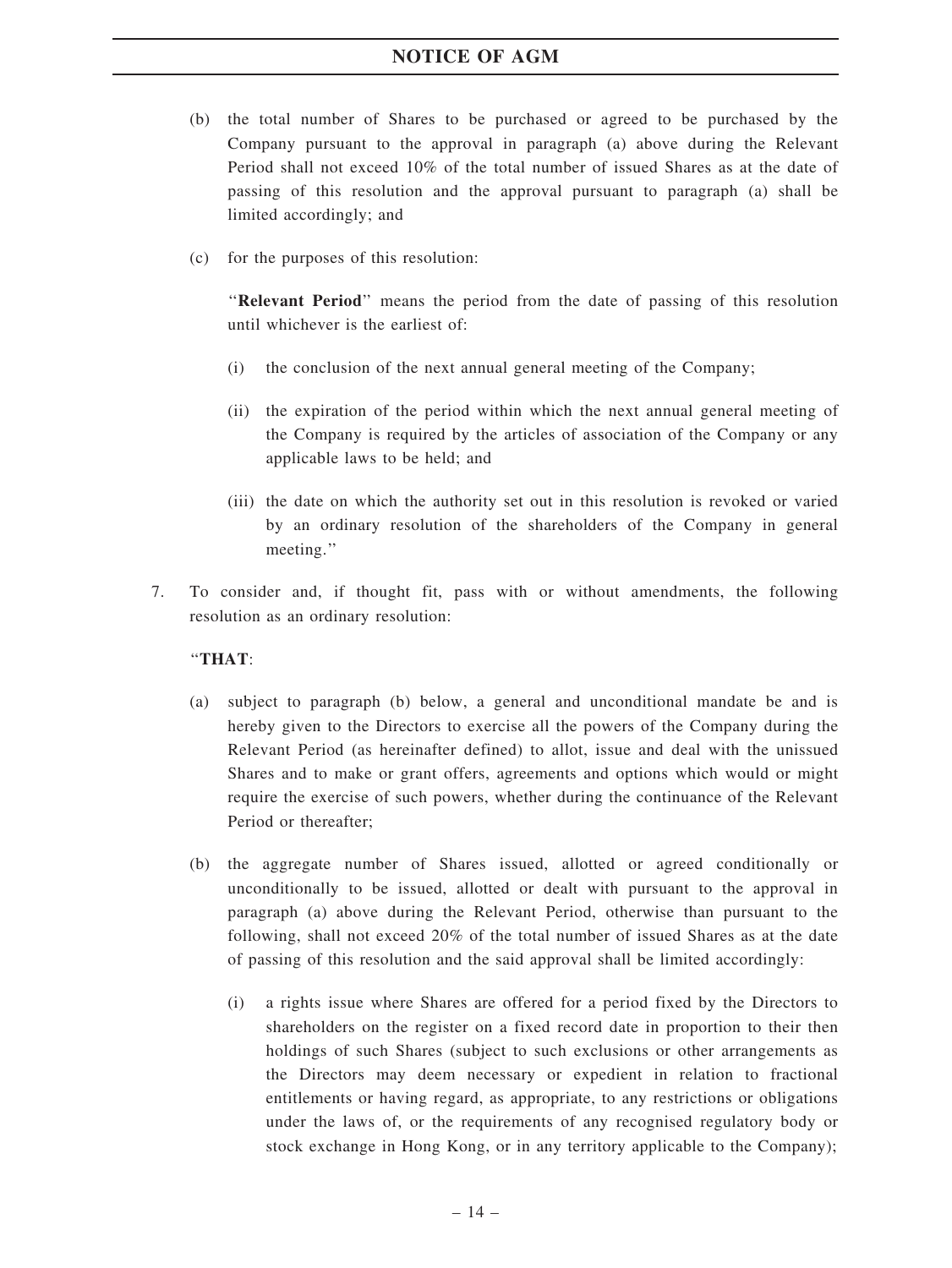## NOTICE OF AGM

- (b) the total number of Shares to be purchased or agreed to be purchased by the Company pursuant to the approval in paragraph (a) above during the Relevant Period shall not exceed 10% of the total number of issued Shares as at the date of passing of this resolution and the approval pursuant to paragraph (a) shall be limited accordingly; and
- (c) for the purposes of this resolution:

''Relevant Period'' means the period from the date of passing of this resolution until whichever is the earliest of:

- (i) the conclusion of the next annual general meeting of the Company;
- (ii) the expiration of the period within which the next annual general meeting of the Company is required by the articles of association of the Company or any applicable laws to be held; and
- (iii) the date on which the authority set out in this resolution is revoked or varied by an ordinary resolution of the shareholders of the Company in general meeting.''
- 7. To consider and, if thought fit, pass with or without amendments, the following resolution as an ordinary resolution:

## ''THAT:

- (a) subject to paragraph (b) below, a general and unconditional mandate be and is hereby given to the Directors to exercise all the powers of the Company during the Relevant Period (as hereinafter defined) to allot, issue and deal with the unissued Shares and to make or grant offers, agreements and options which would or might require the exercise of such powers, whether during the continuance of the Relevant Period or thereafter;
- (b) the aggregate number of Shares issued, allotted or agreed conditionally or unconditionally to be issued, allotted or dealt with pursuant to the approval in paragraph (a) above during the Relevant Period, otherwise than pursuant to the following, shall not exceed 20% of the total number of issued Shares as at the date of passing of this resolution and the said approval shall be limited accordingly:
	- (i) a rights issue where Shares are offered for a period fixed by the Directors to shareholders on the register on a fixed record date in proportion to their then holdings of such Shares (subject to such exclusions or other arrangements as the Directors may deem necessary or expedient in relation to fractional entitlements or having regard, as appropriate, to any restrictions or obligations under the laws of, or the requirements of any recognised regulatory body or stock exchange in Hong Kong, or in any territory applicable to the Company);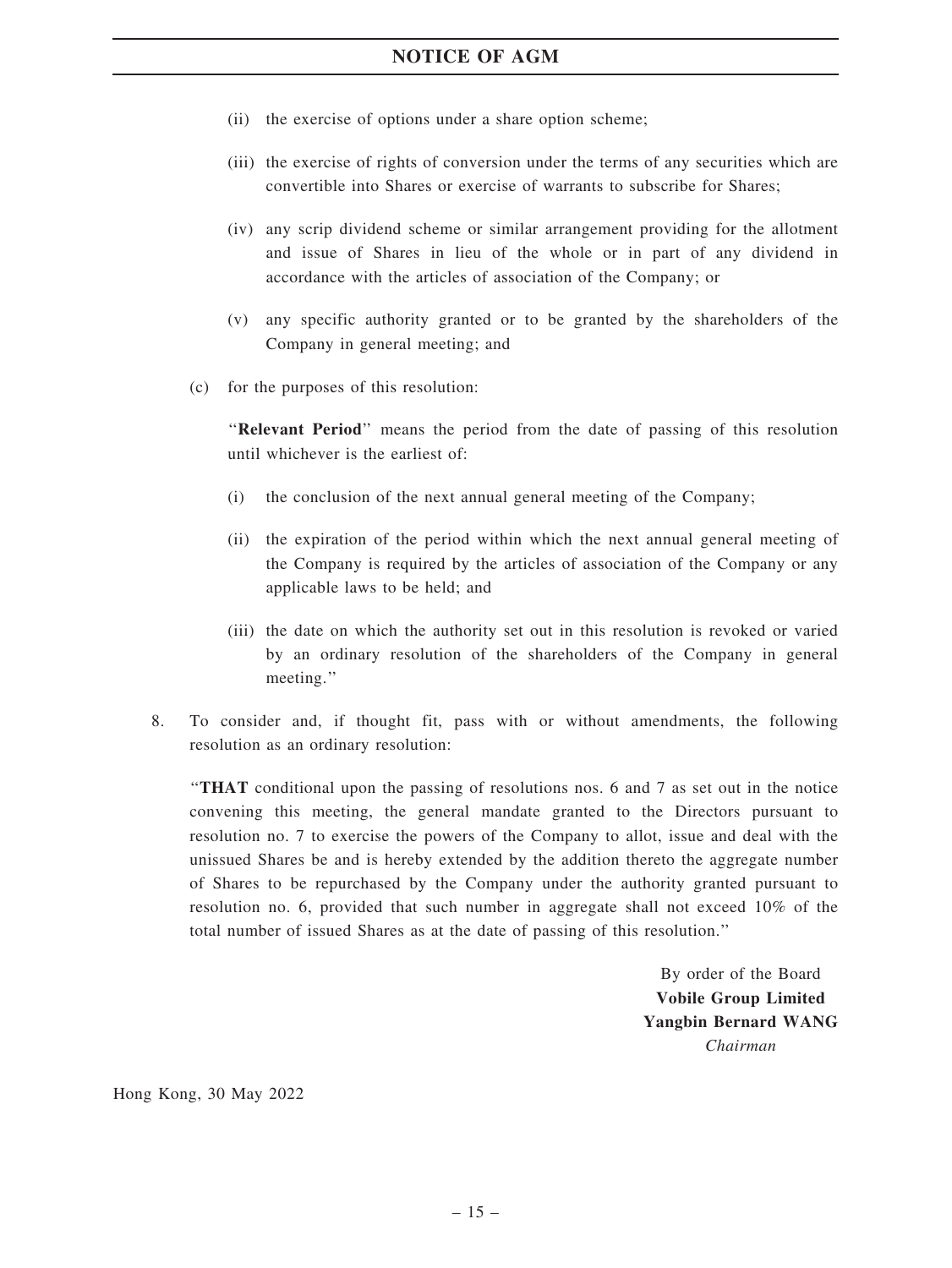- (ii) the exercise of options under a share option scheme;
- (iii) the exercise of rights of conversion under the terms of any securities which are convertible into Shares or exercise of warrants to subscribe for Shares;
- (iv) any scrip dividend scheme or similar arrangement providing for the allotment and issue of Shares in lieu of the whole or in part of any dividend in accordance with the articles of association of the Company; or
- (v) any specific authority granted or to be granted by the shareholders of the Company in general meeting; and
- (c) for the purposes of this resolution:

''Relevant Period'' means the period from the date of passing of this resolution until whichever is the earliest of:

- (i) the conclusion of the next annual general meeting of the Company;
- (ii) the expiration of the period within which the next annual general meeting of the Company is required by the articles of association of the Company or any applicable laws to be held; and
- (iii) the date on which the authority set out in this resolution is revoked or varied by an ordinary resolution of the shareholders of the Company in general meeting.''
- 8. To consider and, if thought fit, pass with or without amendments, the following resolution as an ordinary resolution:

''THAT conditional upon the passing of resolutions nos. 6 and 7 as set out in the notice convening this meeting, the general mandate granted to the Directors pursuant to resolution no. 7 to exercise the powers of the Company to allot, issue and deal with the unissued Shares be and is hereby extended by the addition thereto the aggregate number of Shares to be repurchased by the Company under the authority granted pursuant to resolution no. 6, provided that such number in aggregate shall not exceed 10% of the total number of issued Shares as at the date of passing of this resolution.''

> By order of the Board Vobile Group Limited Yangbin Bernard WANG Chairman

Hong Kong, 30 May 2022